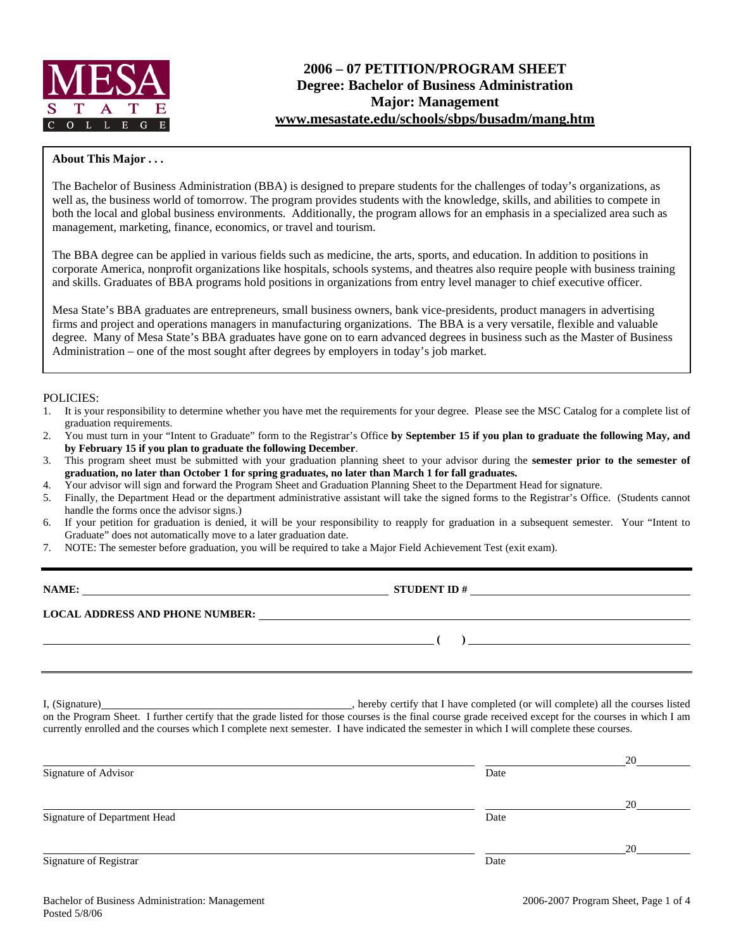

# **2006 – 07 PETITION/PROGRAM SHEET Degree: Bachelor of Business Administration Major: Management www.mesastate.edu/schools/sbps/busadm/mang.htm**

### **About This Major . . .**

The Bachelor of Business Administration (BBA) is designed to prepare students for the challenges of today's organizations, as well as, the business world of tomorrow. The program provides students with the knowledge, skills, and abilities to compete in both the local and global business environments. Additionally, the program allows for an emphasis in a specialized area such as management, marketing, finance, economics, or travel and tourism.

The BBA degree can be applied in various fields such as medicine, the arts, sports, and education. In addition to positions in corporate America, nonprofit organizations like hospitals, schools systems, and theatres also require people with business training and skills. Graduates of BBA programs hold positions in organizations from entry level manager to chief executive officer.

Mesa State's BBA graduates are entrepreneurs, small business owners, bank vice-presidents, product managers in advertising firms and project and operations managers in manufacturing organizations. The BBA is a very versatile, flexible and valuable degree. Many of Mesa State's BBA graduates have gone on to earn advanced degrees in business such as the Master of Business Administration – one of the most sought after degrees by employers in today's job market.

### POLICIES:

- 1. It is your responsibility to determine whether you have met the requirements for your degree. Please see the MSC Catalog for a complete list of graduation requirements.
- 2. You must turn in your "Intent to Graduate" form to the Registrar's Office **by September 15 if you plan to graduate the following May, and by February 15 if you plan to graduate the following December**.
- 3. This program sheet must be submitted with your graduation planning sheet to your advisor during the **semester prior to the semester of graduation, no later than October 1 for spring graduates, no later than March 1 for fall graduates.**
- 4. Your advisor will sign and forward the Program Sheet and Graduation Planning Sheet to the Department Head for signature.
- 5. Finally, the Department Head or the department administrative assistant will take the signed forms to the Registrar's Office. (Students cannot handle the forms once the advisor signs.)
- 6. If your petition for graduation is denied, it will be your responsibility to reapply for graduation in a subsequent semester. Your "Intent to Graduate" does not automatically move to a later graduation date.
- 7. NOTE: The semester before graduation, you will be required to take a Major Field Achievement Test (exit exam).

| NAME:                                  | <b>STUDENT ID#</b> |  |
|----------------------------------------|--------------------|--|
| <b>LOCAL ADDRESS AND PHONE NUMBER:</b> |                    |  |
|                                        |                    |  |

I, (Signature) , hereby certify that I have completed (or will complete) all the courses listed on the Program Sheet. I further certify that the grade listed for those courses is the final course grade received except for the courses in which I am currently enrolled and the courses which I complete next semester. I have indicated the semester in which I will complete these courses.

|                              |      | 20 |
|------------------------------|------|----|
| Signature of Advisor         | Date |    |
|                              |      |    |
|                              |      | 20 |
| Signature of Department Head | Date |    |
|                              |      |    |
|                              |      | 20 |
| Signature of Registrar       | Date |    |
|                              |      |    |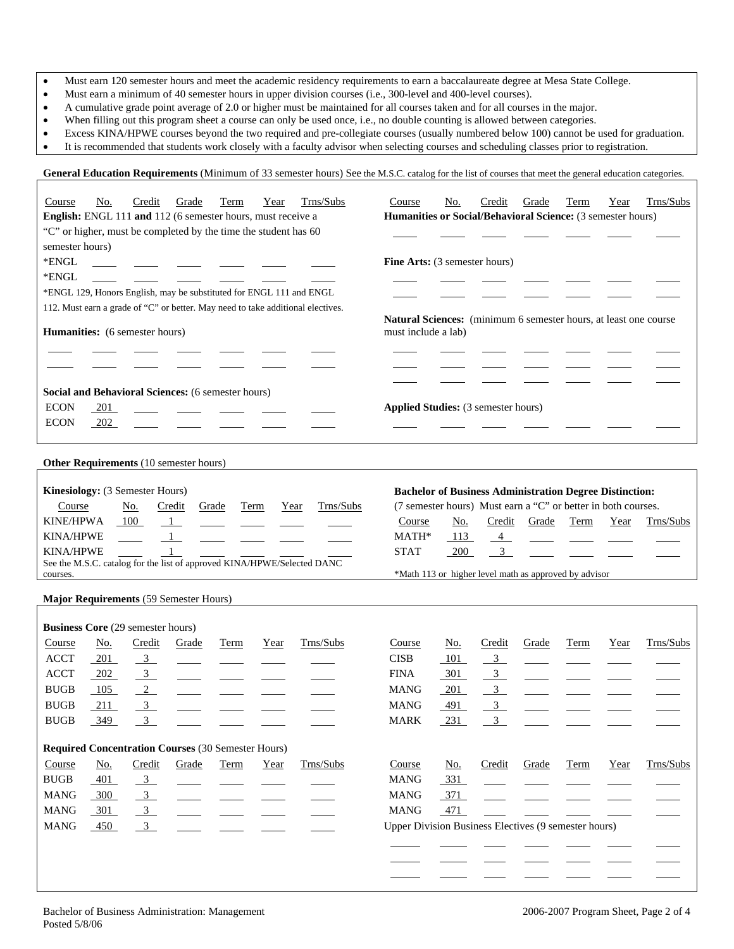- Must earn 120 semester hours and meet the academic residency requirements to earn a baccalaureate degree at Mesa State College.
- Must earn a minimum of 40 semester hours in upper division courses (i.e., 300-level and 400-level courses).
- A cumulative grade point average of 2.0 or higher must be maintained for all courses taken and for all courses in the major.
- When filling out this program sheet a course can only be used once, i.e., no double counting is allowed between categories.
- Excess KINA/HPWE courses beyond the two required and pre-collegiate courses (usually numbered below 100) cannot be used for graduation.
- It is recommended that students work closely with a faculty advisor when selecting courses and scheduling classes prior to registration.

| <b>General Education Requirements</b> (Minimum of 33 semester hours) See the M.S.C. catalog for the list of courses that meet the general education categories. |  |  |
|-----------------------------------------------------------------------------------------------------------------------------------------------------------------|--|--|
|                                                                                                                                                                 |  |  |

| Trns/Subs<br><u>No.</u><br>Credit<br>Grade<br>Term<br>Course<br>Year<br>English: ENGL 111 and 112 (6 semester hours, must receive a<br>"C" or higher, must be completed by the time the student has 60<br>semester hours) | Trns/Subs<br>Course<br>No.<br>Credit<br>Grade<br>Year<br>Term<br>Humanities or Social/Behavioral Science: (3 semester hours) |
|---------------------------------------------------------------------------------------------------------------------------------------------------------------------------------------------------------------------------|------------------------------------------------------------------------------------------------------------------------------|
| *ENGL                                                                                                                                                                                                                     | Fine Arts: (3 semester hours)                                                                                                |
| *ENGL<br>$\sim$                                                                                                                                                                                                           |                                                                                                                              |
| *ENGL 129, Honors English, may be substituted for ENGL 111 and ENGL                                                                                                                                                       |                                                                                                                              |
| 112. Must earn a grade of "C" or better. May need to take additional electives.                                                                                                                                           | Natural Sciences: (minimum 6 semester hours, at least one course                                                             |
| Humanities: (6 semester hours)                                                                                                                                                                                            | must include a lab)                                                                                                          |
|                                                                                                                                                                                                                           |                                                                                                                              |
| Social and Behavioral Sciences: (6 semester hours)                                                                                                                                                                        |                                                                                                                              |
| <b>ECON</b><br>201                                                                                                                                                                                                        | <b>Applied Studies:</b> (3 semester hours)                                                                                   |
| <b>ECON</b><br>202                                                                                                                                                                                                        |                                                                                                                              |
|                                                                                                                                                                                                                           |                                                                                                                              |
| <b>Other Requirements</b> (10 semester hours)                                                                                                                                                                             |                                                                                                                              |
| Kinesiology: (3 Semester Hours)                                                                                                                                                                                           | <b>Bachelor of Business Administration Degree Distinction:</b>                                                               |
| Trns/Subs<br>Course<br><u>No.</u><br>Credit<br>Grade<br>Term<br>Year                                                                                                                                                      | (7 semester hours) Must earn a "C" or better in both courses.                                                                |
| <b>KINE/HPWA</b><br>100<br>$\mathbf{1}$                                                                                                                                                                                   | Course<br><u>No.</u><br>Credit<br>Grade<br>Term<br>Year<br>Trns/Subs                                                         |
| <b>KINA/HPWE</b><br>$\frac{1}{2}$                                                                                                                                                                                         | MATH*<br>113<br>$\overline{4}$<br>$\overline{\phantom{a}}$                                                                   |
| <b>KINA/HPWE</b><br>See the M.S.C. catalog for the list of approved KINA/HPWE/Selected DANC                                                                                                                               | <b>STAT</b><br>$\frac{3}{2}$<br>200                                                                                          |
| courses.                                                                                                                                                                                                                  | *Math 113 or higher level math as approved by advisor                                                                        |
| Major Requirements (59 Semester Hours)                                                                                                                                                                                    |                                                                                                                              |
|                                                                                                                                                                                                                           |                                                                                                                              |
| <b>Business Core (29 semester hours)</b>                                                                                                                                                                                  |                                                                                                                              |
| Trns/Subs<br>Credit<br>Course<br><u>No.</u><br>Grade<br>Term<br>Year                                                                                                                                                      | Trns/Subs<br>Credit<br>Course<br><u>No.</u><br>Grade<br>Term<br>Year                                                         |
| <b>ACCT</b><br>$-201$<br>$\frac{3}{2}$                                                                                                                                                                                    | <b>CISB</b><br>$\overline{3}$<br>101                                                                                         |
| <b>ACCT</b><br>$\overline{\phantom{a}3}$<br>202                                                                                                                                                                           | <b>FINA</b><br>301<br>$\overline{3}$                                                                                         |
| <b>BUGB</b><br>$\frac{2}{2}$<br>105                                                                                                                                                                                       | $3_{-}$<br><b>MANG</b><br>201                                                                                                |
| $\frac{3}{2}$<br><b>BUGB</b><br>211                                                                                                                                                                                       | 3 <sup>1</sup><br><b>MANG</b><br>491                                                                                         |
| 3 <sup>7</sup><br><b>BUGB</b><br>349                                                                                                                                                                                      | 3 <sup>1</sup><br><b>MARK</b><br>231                                                                                         |
| <b>Required Concentration Courses (30 Semester Hours)</b>                                                                                                                                                                 |                                                                                                                              |
| Credit<br>Trns/Subs<br>Course<br><u>No.</u><br>Grade<br>Year<br>Term                                                                                                                                                      | Trns/Subs<br>Course<br>Credit<br>No.<br>Grade<br>Term<br>Year                                                                |
| <b>BUGB</b><br>401<br>$\frac{3}{2}$                                                                                                                                                                                       | <b>MANG</b><br>331                                                                                                           |
| $\frac{3}{2}$<br><b>MANG</b><br>300                                                                                                                                                                                       | <b>MANG</b><br>371                                                                                                           |
| <b>MANG</b><br>$\overline{3}$<br>301                                                                                                                                                                                      | <b>MANG</b><br>471                                                                                                           |
| <b>MANG</b><br>3 <sup>1</sup><br>$-450$                                                                                                                                                                                   | Upper Division Business Electives (9 semester hours)                                                                         |
|                                                                                                                                                                                                                           |                                                                                                                              |
|                                                                                                                                                                                                                           |                                                                                                                              |
|                                                                                                                                                                                                                           |                                                                                                                              |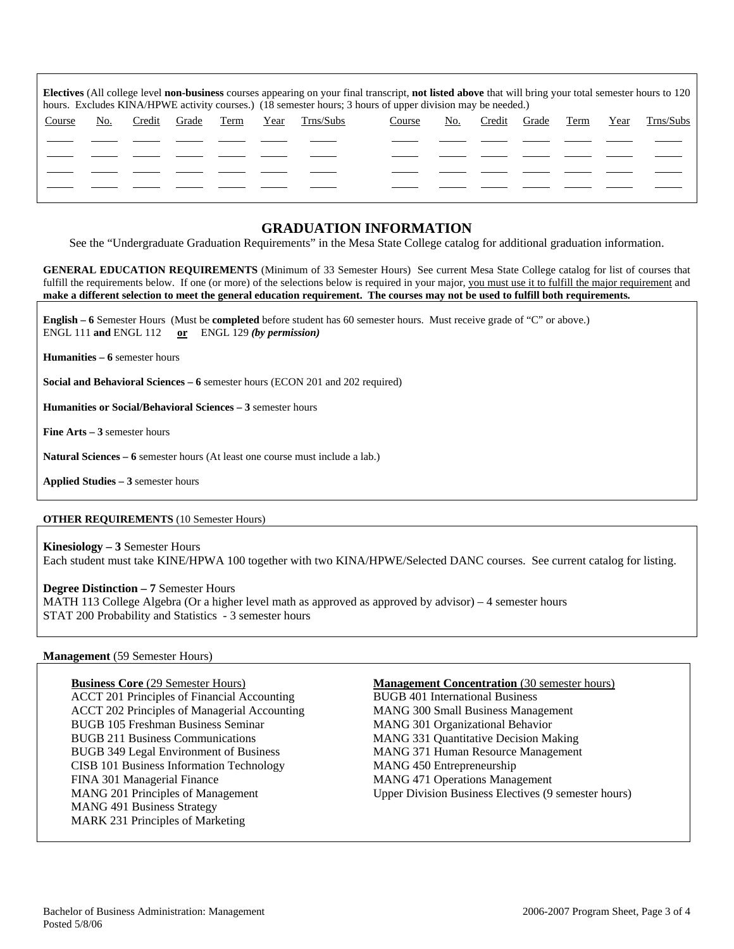| <b>Electives</b> (All college level <b>non-business</b> courses appearing on your final transcript, <b>not listed above</b> that will bring your total semester hours to 120<br>hours. Excludes KINA/HPWE activity courses.) (18 semester hours; 3 hours of upper division may be needed.) |     |        |       |      |      |           |        |     |        |       |      |      |           |
|--------------------------------------------------------------------------------------------------------------------------------------------------------------------------------------------------------------------------------------------------------------------------------------------|-----|--------|-------|------|------|-----------|--------|-----|--------|-------|------|------|-----------|
| Course                                                                                                                                                                                                                                                                                     | No. | Credit | Grade | Term | Year | Trns/Subs | Course | No. | Credit | Grade | Term | Year | Trns/Subs |
|                                                                                                                                                                                                                                                                                            |     |        |       |      |      |           |        |     |        |       |      |      |           |
|                                                                                                                                                                                                                                                                                            |     |        |       |      |      |           |        |     |        |       |      |      |           |
|                                                                                                                                                                                                                                                                                            |     |        |       |      |      |           |        |     |        |       |      |      |           |
|                                                                                                                                                                                                                                                                                            |     |        |       |      |      |           |        |     |        |       |      |      |           |

# **GRADUATION INFORMATION**

See the "Undergraduate Graduation Requirements" in the Mesa State College catalog for additional graduation information.

**GENERAL EDUCATION REQUIREMENTS** (Minimum of 33 Semester Hours) See current Mesa State College catalog for list of courses that fulfill the requirements below. If one (or more) of the selections below is required in your major, you must use it to fulfill the major requirement and **make a different selection to meet the general education requirement. The courses may not be used to fulfill both requirements.**

**English – 6** Semester Hours (Must be **completed** before student has 60 semester hours. Must receive grade of "C" or above.) ENGL 111 **and** ENGL 112 **or** ENGL 129 *(by permission)*

**Humanities – 6** semester hours

**Social and Behavioral Sciences – 6** semester hours (ECON 201 and 202 required)

**Humanities or Social/Behavioral Sciences – 3** semester hours

**Fine Arts – 3** semester hours

**Natural Sciences – 6** semester hours (At least one course must include a lab.)

**Applied Studies – 3** semester hours

### **OTHER REQUIREMENTS** (10 Semester Hours)

**Kinesiology – 3** Semester Hours Each student must take KINE/HPWA 100 together with two KINA/HPWE/Selected DANC courses. See current catalog for listing.

### **Degree Distinction – 7** Semester Hours

MATH 113 College Algebra (Or a higher level math as approved as approved by advisor) – 4 semester hours STAT 200 Probability and Statistics - 3 semester hours

### **Management** (59 Semester Hours)

ACCT 201 Principles of Financial Accounting BUGB 401 International Business ACCT 202 Principles of Managerial Accounting MANG 300 Small Business Management BUGB 105 Freshman Business Seminar MANG 301 Organizational Behavior BUGB 211 Business Communications MANG 331 Quantitative Decision Making BUGB 349 Legal Environment of Business MANG 371 Human Resource Management CISB 101 Business Information Technology MANG 450 Entrepreneurship FINA 301 Managerial Finance MANG 471 Operations Management MANG 491 Business Strategy MARK 231 Principles of Marketing

### **Business Core** (29 Semester Hours) **Management Concentration** (30 semester hours)

MANG 201 Principles of Management Upper Division Business Electives (9 semester hours)